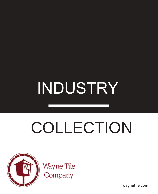# INDUSTRY

# COLLECTION



Wayne Tile<br>Company

waynetile.com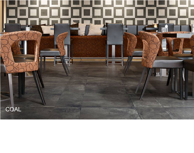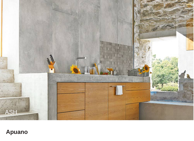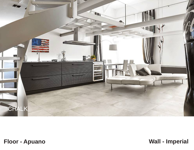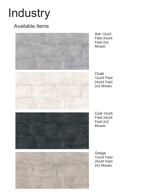## Industry

### Available Items



Ash 12x24 Field 24x24 Field 2x2 Mosaic



**Chalk** 12x24 Field 24x24 Field 2x2 Mosaic



Coal 12x24 Field 24x24 Field 2x2 Mosaic



Greige 12x24 Field 24x24 Field 2x2 Mosaic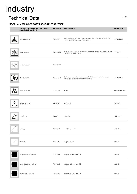## Industry

### Technical Data

#### **10,00 mm / COLOURED BODY PORCELAIN STONEWARE**

| Reference standard E.N. 14411-ISO 13006.<br>Appendix G. Group Bla. GL | <b>Test method</b> | <b>Reference value</b>                                                                                                            | <b>Declared value</b> |
|-----------------------------------------------------------------------|--------------------|-----------------------------------------------------------------------------------------------------------------------------------|-----------------------|
| Chemical resistance                                                   | ASTM-650           | A tile sample is placed in coninuous contact with a variety of chemicals for 24<br>hours. No sample must show visible defects.    | NOT AFFECTED          |
| Resistance to freeze                                                  | ASTM-C1026         | A tile sample is subjected to repeated processes of freezing and thawing. Sample<br>must show no visible defects.                 | RESISTANT             |
| Surface abrasion                                                      | ASTM-C1027         |                                                                                                                                   | IV                    |
| Stain Resistance                                                      | ASTM-C1378         | Surfaces are exposed to staining agents for 24 hours followed by four cleaning<br>procedures. Results are recorded post cleaning. | NOT AFFECTED          |
| Water absorption                                                      | ASTM-C373          | ≤0.5%                                                                                                                             | MEETS REQUIREMENT     |
| Breaking strength                                                     | ASTM-C648          | $\geq$ 250 lb/ft2                                                                                                                 | $\geq$ 400 lb/ft2     |
| $\geq$ 0.42% wet                                                      | ANSI-A326.3        | $\geq$ 0.42% wet                                                                                                                  | $\geq 0.42\%$ wet     |
| Wedging                                                               | ASTM-C502          | $\pm$ 0.25% or $\pm$ 0.03 in                                                                                                      | $\geq$ $\pm$ 0.25%    |
| Thickness                                                             | ASTM-C499          | Range: $\pm$ 0.04 in                                                                                                              | $\leq 0.04$ in        |
| Warpage diagonal (pressed)                                            | ASTM-C485          | Warpage $\pm$ 0.5% or $\pm$ 0.07 in                                                                                               | $\geq$ $\pm$ 0.5%     |
| Warpage diagonal (rectified)                                          | ASTM-C485          | Warpage $\pm$ 0.4% or $\pm$ 0.07 in                                                                                               | $\geq$ $\pm$ 0.4%     |
| Warpage edge (pressed)                                                | ASTM-C485          | Warpage $\pm$ 0.5% or $\pm$ 0.07 in                                                                                               | $\geq$ $\pm$ 0.5%     |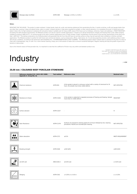

#### **Notes:**

RESISTANT FOR THE HOUSE - The product is water-resistant: it stops liquids, body oils, acidic and staining substances from penetrating the tiles. It resists scratches, scuffs and gauges better than<br>any other floor covering doesn's feed a fire. Its high resistance to abrasive dirt and grime makes it suitable even for heavy-traffic areas of the house such as hallways, entrances, foyers and walkways. | FROST RESISTANT -Exceeding the ADA standard requirements, the Milestone product can also be used for outside applications. It stands up to abrupt temperature changes and freezing-thaw cycles. When properly<br>installed according to ANSI A137. tiled. | ANTI-SLIP - The testing conducted on our finished product will guarantee that all of our tiles will have an anti-slip surface so they may be used with total confidence in kitchen and bath applications. The Milestone product is perfect for both home and commercial interiors, such as restaurants, offices, retail stores, etc. Its anti-slip properties provide a safe walkking surface in both<br>wet and dry conditio clean with a dampsponge, mop, or cloth. For a more intense cleaning, simply use a mild solution of water and a common household detergent. Regular cleaning will stop the growth of germs and bacteria in damp areas.

Due to the inherent nature of fired porcelain tile, it is important to note that the coefficent of friction may vary within and between product runs.

Copyright © 2013 Florim S.p.A. SB a socio unico. Sede Legale: Via Canaletto 24, 41042 Fiorano Modenese. Reg. Imprese di Modena Nr. 01265320364. Capitale Sociale i.v. Euro 50.000.000 PI/CF 01265320364

### **Industry**

 $/ +$ ONE

#### **20,00 mm / COLOURED BODY PORCELAIN STONEWARE**

| Reference standard E.N. 14411-ISO 13006.<br>Appendix G. Group Bla. GL | <b>Test method</b> | <b>Reference value</b>                                                                                                            | <b>Declared value</b> |
|-----------------------------------------------------------------------|--------------------|-----------------------------------------------------------------------------------------------------------------------------------|-----------------------|
| Chemical resistance                                                   | ASTM-650           | A tile sample is placed in coninuous contact with a variety of chemicals for 24<br>hours. No sample must show visible defects.    | NOT AFFECTED          |
| Resistance to freeze                                                  | ASTM-C1026         | A tile sample is subjected to repeated processes of freezing and thawing. Sample<br>must show no visible defects.                 | RESISTANT             |
| Surface abrasion                                                      | ASTM-C1027         |                                                                                                                                   | IV                    |
| Stain Resistance                                                      | ASTM-C1378         | Surfaces are exposed to staining agents for 24 hours followed by four cleaning<br>procedures. Results are recorded post cleaning. | NOT AFFECTED          |
| Water absorption                                                      | ASTM-C373          | ≤0.5%                                                                                                                             | MEETS REQUIREMENT     |
| Breaking strength                                                     | ASTM-C648          | $\geq$ 250 lb/ft2                                                                                                                 | $\geq$ 400 lb/ft2     |
| $\geq$ 0.42% wet                                                      | ANSI-A326.3        | $\geq$ 0.42% wet                                                                                                                  | $\geq$ 0.42% wet      |
| Wedging                                                               | ASTM-C502          | $±$ 0.25% or $±$ 0.03 in                                                                                                          | $\geq \pm 0.25\%$     |